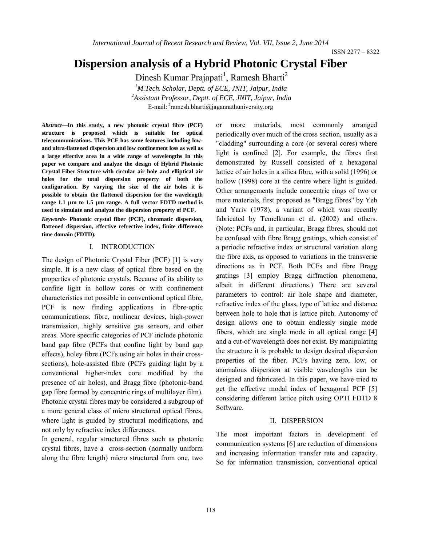ISSN 2277 – 8322

# **Dispersion analysis of a Hybrid Photonic Crystal Fiber**

Dinesh Kumar Prajapati<sup>1</sup>, Ramesh Bharti<sup>2</sup> *1 M.Tech. Scholar, Deptt. of ECE, JNIT, Jaipur, India 2 Assistant Professor, Deptt. of ECE, JNIT, Jaipur, India* E-mail: <sup>2</sup>ramesh.bharti@jagannathuniversity.org

*Abstract***—In this study, a new photonic crystal fibre (PCF) structure is proposed which is suitable for optical telecommunications. This PCF has some features including lowand ultra-flattened dispersion and low confinement loss as well as a large effective area in a wide range of wavelengths In this paper we compare and analyze the design of Hybrid Photonic Crystal Fiber Structure with circular air hole and elliptical air holes for the total dispersion property of both the configuration. By varying the size of the air holes it is possible to obtain the flattened dispersion for the wavelength range 1.1 µm to 1.5 µm range. A full vector FDTD method is used to simulate and analyze the dispersion property of PCF.**

*Keywords-* **Photonic crystal fiber (PCF), chromatic dispersion, flattened dispersion,** e**ffective refrective index, finite difference time domain (FDTD).**

### I. INTRODUCTION

The design of Photonic Crystal Fiber (PCF) [1] is very simple. It is a new class of optical fibre based on the properties of photonic crystals. Because of its ability to confine light in hollow cores or with confinement characteristics not possible in conventional optical fibre, PCF is now finding applications in fibre-optic communications, fibre, nonlinear devices, high-power transmission, highly sensitive gas sensors, and other areas. More specific categories of PCF include photonic band gap fibre (PCFs that confine light by band gap effects), holey fibre (PCFs using air holes in their crosssections), hole-assisted fibre (PCFs guiding light by a conventional higher-index core modified by the presence of air holes), and Bragg fibre (photonic-band gap fibre formed by concentric rings of multilayer film). Photonic crystal fibres may be considered a subgroup of a more general class of micro structured optical fibres, where light is guided by structural modifications, and not only by refractive index differences.

In general, regular structured fibres such as photonic crystal fibres, have a cross-section (normally uniform along the fibre length) micro structured from one, two

or more materials, most commonly arranged periodically over much of the cross section, usually as a "cladding" surrounding a core (or several cores) where light is confined [2]. For example, the fibres first demonstrated by Russell consisted of a hexagonal lattice of air holes in a silica fibre, with a solid (1996) or hollow (1998) core at the centre where light is guided. Other arrangements include concentric rings of two or more materials, first proposed as "Bragg fibres" by Yeh and Yariv (1978), a variant of which was recently fabricated by Temelkuran et al. (2002) and others. (Note: PCFs and, in particular, Bragg fibres, should not be confused with fibre Bragg gratings, which consist of a periodic refractive index or structural variation along the fibre axis, as opposed to variations in the transverse directions as in PCF. Both PCFs and fibre Bragg gratings [3] employ Bragg diffraction phenomena, albeit in different directions.) There are several parameters to control: air hole shape and diameter, refractive index of the glass, type of lattice and distance between hole to hole that is lattice pitch. Autonomy of design allows one to obtain endlessly single mode fibers, which are single mode in all optical range [4] and a cut-of wavelength does not exist. By manipulating the structure it is probable to design desired dispersion properties of the fiber. PCFs having zero, low, or anomalous dispersion at visible wavelengths can be designed and fabricated. In this paper, we have tried to get the effective modal index of hexagonal PCF [5] considering different lattice pitch using OPTI FDTD 8 Software.

### II. DISPERSION

The most important factors in development of communication systems [6] are reduction of dimensions and increasing information transfer rate and capacity. So for information transmission, conventional optical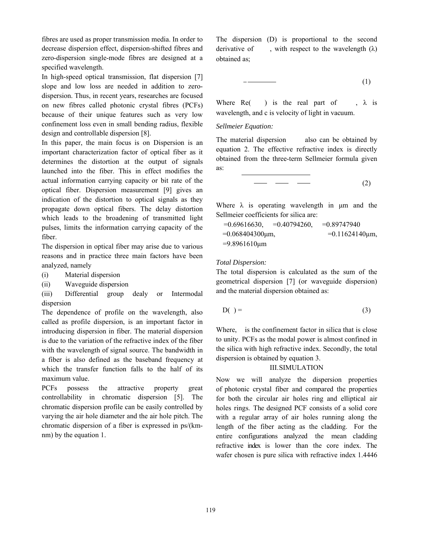fibres are used as proper transmission media. In order to decrease dispersion effect, dispersion-shifted fibres and zero-dispersion single-mode fibres are designed at a specified wavelength.

In high-speed optical transmission, flat dispersion [7] slope and low loss are needed in addition to zerodispersion. Thus, in recent years, researches are focused on new fibres called photonic crystal fibres (PCFs) because of their unique features such as very low confinement loss even in small bending radius, flexible design and controllable dispersion [8].

In this paper, the main focus is on Dispersion is an important characterization factor of optical fiber as it determines the distortion at the output of signals launched into the fiber. This in effect modifies the actual information carrying capacity or bit rate of the optical fiber. Dispersion measurement [9] gives an indication of the distortion to optical signals as they propagate down optical fibers. The delay distortion which leads to the broadening of transmitted light pulses, limits the information carrying capacity of the fiber.

The dispersion in optical fiber may arise due to various reasons and in practice three main factors have been analyzed, namely

- (i) Material dispersion
- (ii) Waveguide dispersion

(iii) Differential group dealy or Intermodal dispersion

The dependence of profile on the wavelength, also called as profile dispersion, is an important factor in introducing dispersion in fiber. The material dispersion is due to the variation of the refractive index of the fiber with the wavelength of signal source. The bandwidth in a fiber is also defined as the baseband frequency at which the transfer function falls to the half of its maximum value.

PCFs possess the attractive property great controllability in chromatic dispersion [5]. The chromatic dispersion profile can be easily controlled by varying the air hole diameter and the air hole pitch. The chromatic dispersion of a fiber is expressed in ps/(kmnm) by the equation 1.

The dispersion (D) is proportional to the second derivative of , with respect to the wavelength  $(\lambda)$ obtained as;

$$
-\qquad \qquad (1)
$$

Where  $Re($  ) is the real part of ,  $\lambda$  is wavelength, and c is velocity of light in vacuum.

### *Sellmeier Equation:*

The material dispersion also can be obtained by equation 2. The effective refractive index is directly obtained from the three-term Sellmeier formula given as:

$$
\begin{array}{cccc}\n & - & - & \n \end{array}
$$
\n(2)

Where  $\lambda$  is operating wavelength in  $\mu$ m and the Sellmeier coefficients for silica are:

$$
=0.69616630, \quad =0.40794260, \quad =0.89747940
$$
  
=0.068404300µm, \quad =0.11624140µm,   
=9.8961610µm

### *Total Dispersion:*

The total dispersion is calculated as the sum of the geometrical dispersion [7] (or waveguide dispersion) and the material dispersion obtained as:

$$
D() = (3)
$$

Where, is the confinement factor in silica that is close to unity. PCFs as the modal power is almost confined in the silica with high refractive index. Secondly, the total dispersion is obtained by equation 3.

### III.SIMULATION

Now we will analyze the dispersion properties of photonic crystal fiber and compared the properties for both the circular air holes ring and elliptical air holes rings. The designed PCF consists of a solid core with a regular array of air holes running along the length of the fiber acting as the cladding. For the entire configurations analyzed the mean cladding refractive index is lower than the core index. The wafer chosen is pure silica with refractive index 1.4446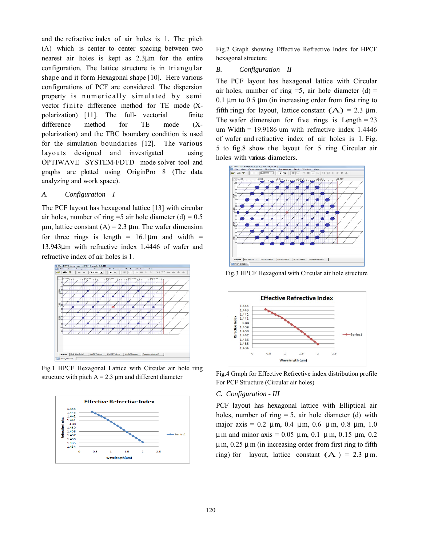and the refractive index of air holes is 1. The pitch (A) which is center to center spacing between two nearest air holes is kept as 2.3µm for the entire configuration. The lattice structure is in triangular shape and it form Hexagonal shape [10]. Here various configurations of PCF are considered. The dispersion property is numerically simulated by semi vector finite difference method for  $TE$  mode  $(X$ polarization) [11]. The full- vectorial finite difference method for TE mode (Xpolarization) and the TBC boundary condition is used for the simulation boundaries [12]. The various layouts designed and investigated using OPTIWAVE SYSTEM-FDTD mode solver tool and graphs are plotted using OriginPro 8 (The data analyzing and work space).

# *A. Configuration – I*

The PCF layout has hexagonal lattice [13] with circular air holes, number of ring =5 air hole diameter (d) =  $0.5$  $\mu$ m, lattice constant (A) = 2.3  $\mu$ m. The wafer dimension for three rings is length =  $16.1 \mu m$  and width = 13.943µm with refractive index 1.4446 of wafer and refractive index of air holes is 1.



Fig.1 HPCF Hexagonal Lattice with Circular air hole ring structure with pitch  $A = 2.3 \mu m$  and different diameter



Fig.2 Graph showing Effective Refrective Index for HPCF hexagonal structure

### *B. Configuration – II*

The PCF layout has hexagonal lattice with Circular air holes, number of ring  $=5$ , air hole diameter (d)  $=$ 0.1  $\mu$ m to 0.5  $\mu$ m (in increasing order from first ring to fifth ring) for layout, lattice constant  $(A) = 2.3 \mu m$ . The wafer dimension for five rings is Length  $= 23$ um Width =  $19.9186$  um with refractive index 1.4446 of wafer and refractive index of air holes is 1. Fig. 5 to fig.8 show the layout for 5 ring Circular air holes with various diameters.



Fig.3 HPCF Hexagonal with Circular air hole structure



Fig.4 Graph for Effective Refrective index distribution profile For PCF Structure (Circular air holes)

# *C. Configuration - III*

PCF layout has hexagonal lattice with Elliptical air holes, number of ring  $= 5$ , air hole diameter (d) with major axis =  $0.2 \mu$ m,  $0.4 \mu$ m,  $0.6 \mu$ m,  $0.8 \mu$ m,  $1.0 \mu$  $\mu$ m and minor axis = 0.05  $\mu$ m, 0.1  $\mu$ m, 0.15  $\mu$ m, 0.2  $\mu$  m, 0.25  $\mu$  m (in increasing order from first ring to fifth ring) for layout, lattice constant  $(A) = 2.3 \mu m$ .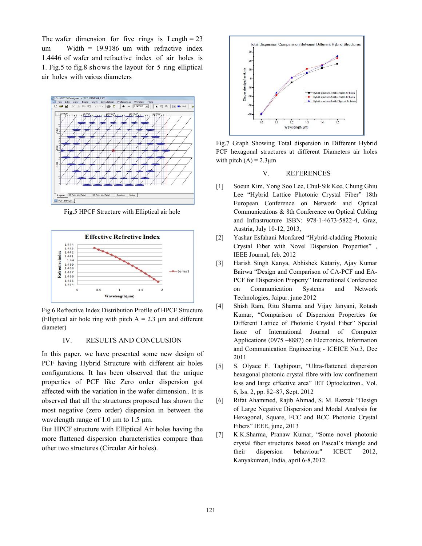The wafer dimension for five rings is Length  $= 23$ um Width = 19.9186 um with refractive index 1.4446 of wafer and refractive index of air holes is 1. Fig.5 to fig.8 shows the layout for 5 ring elliptical air holes with various diameters



Fig.5 HPCF Structure with Elliptical air hole



Fig.6 Refrective Index Distribution Profile of HPCF Structure (Elliptical air hole ring with pitch  $A = 2.3 \mu m$  and different diameter)

#### IV. RESULTS AND CONCLUSION

In this paper, we have presented some new design of PCF having Hybrid Structure with different air holes configurations. It has been observed that the unique properties of PCF like Zero order dispersion got affected with the variation in the wafer dimension.. It is observed that all the structures proposed has shown the most negative (zero order) dispersion in between the wavelength range of 1.0 μm to 1.5 μm.

But HPCF structure with Elliptical Air holes having the more flattened dispersion characteristics compare than other two structures (Circular Air holes).



Fig.7 Graph Showing Total dispersion in Different Hybrid PCF hexagonal structures at different Diameters air holes with pitch  $(A) = 2.3 \mu m$ 

### V. REFERENCES

- [1] Soeun Kim, Yong Soo Lee, Chul-Sik Kee, Chung Ghiu Lee "Hybrid Lattice Photonic Crystal Fiber" 18th European Conference on Network and Optical Communications & 8th Conference on Optical Cabling and Infrastructure ISBN: 978-1-4673-5822-4, Graz, Austria, July 10-12, 2013,
- [2] Yashar Esfahani Monfared "Hybrid-cladding Photonic Crystal Fiber with Novel Dispersion Properties" , IEEE Journal, feb. 2012
- [3] Harish Singh Kanya, Abhishek Katariy, Ajay Kumar Bairwa "Design and Comparison of CA-PCF and EA-PCF for Dispersion Property" International Conference on Communication Systems and Network Technologies, Jaipur. june 2012
- [4] Shish Ram, Ritu Sharma and Vijay Janyani, Rotash Kumar, "Comparison of Dispersion Properties for Different Lattice of Photonic Crystal Fiber" Special Issue of International Journal of Computer Applications (0975 –8887) on Electronics, Information and Communication Engineering - ICEICE No.3, Dec 2011
- [5] S. Olyaee F. Taghipour, "Ultra-flattened dispersion hexagonal photonic crystal fibre with low confinement loss and large effective area" IET Optoelectron., Vol. 6, Iss. 2, pp. 82–87, Sept. 2012
- [6] Rifat Ahammed, Rajib Ahmad, S. M. Razzak "Design of Large Negative Dispersion and Modal Analysis for Hexagonal, Square, FCC and BCC Photonic Crystal Fibers" IEEE, june, 2013
- [7] K.K.Sharma, Pranaw Kumar, "Some novel photonic crystal fiber structures based on Pascal's triangle and their dispersion behaviour" ICECT 2012, Kanyakumari, India, april 6-8,2012.